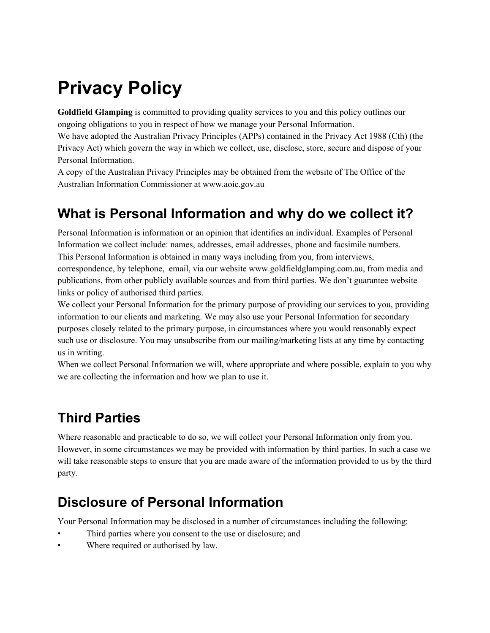# **Privacy Policy**

**Goldfield Glamping** is committed to providing quality services to you and this policy outlines our ongoing obligations to you in respect of how we manage your Personal Information.

We have adopted the Australian Privacy Principles (APPs) contained in the Privacy Act 1988 (Cth) (the Privacy Act) which govern the way in which we collect, use, disclose, store, secure and dispose of your Personal Information.

A copy of the Australian Privacy Principles may be obtained from the website of The Office of the Australian Information Commissioner at www.aoic.gov.au

#### **What is Personal Information and why do we collect it?**

Personal Information is information or an opinion that identifies an individual. Examples of Personal Information we collect include: names, addresses, email addresses, phone and facsimile numbers. This Personal Information is obtained in many ways including from you, from interviews, correspondence, by telephone, email, via our website www.goldfieldglamping.com.au, from media and publications, from other publicly available sources and from third parties. We don't guarantee website links or policy of authorised third parties.

We collect your Personal Information for the primary purpose of providing our services to you, providing information to our clients and marketing. We may also use your Personal Information for secondary purposes closely related to the primary purpose, in circumstances where you would reasonably expect such use or disclosure. You may unsubscribe from our mailing/marketing lists at any time by contacting us in writing.

When we collect Personal Information we will, where appropriate and where possible, explain to you why we are collecting the information and how we plan to use it.

## **Third Parties**

Where reasonable and practicable to do so, we will collect your Personal Information only from you. However, in some circumstances we may be provided with information by third parties. In such a case we will take reasonable steps to ensure that you are made aware of the information provided to us by the third party.

#### **Disclosure of Personal Information**

Your Personal Information may be disclosed in a number of circumstances including the following:

- Third parties where you consent to the use or disclosure; and
- Where required or authorised by law.